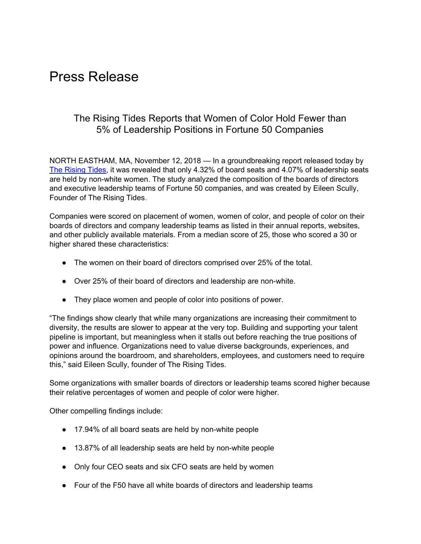## Press Release

## The Rising Tides Reports that Women of Color Hold Fewer than 5% of Leadership Positions in Fortune 50 Companies

NORTH EASTHAM, MA, November 12, 2018 — In a groundbreaking report released today by The [Rising](https://www.therisingtides.com/) Tides, it was revealed that only 4.32% of board seats and 4.07% of leadership seats are held by non-white women. The study analyzed the composition of the boards of directors and executive leadership teams of Fortune 50 companies, and was created by Eileen Scully, Founder of The Rising Tides.

Companies were scored on placement of women, women of color, and people of color on their boards of directors and company leadership teams as listed in their annual reports, websites, and other publicly available materials. From a median score of 25, those who scored a 30 or higher shared these characteristics:

- The women on their board of directors comprised over 25% of the total.
- Over 25% of their board of directors and leadership are non-white.
- They place women and people of color into positions of power.

"The findings show clearly that while many organizations are increasing their commitment to diversity, the results are slower to appear at the very top. Building and supporting your talent pipeline is important, but meaningless when it stalls out before reaching the true positions of power and influence. Organizations need to value diverse backgrounds, experiences, and opinions around the boardroom, and shareholders, employees, and customers need to require this," said Eileen Scully, founder of The Rising Tides.

Some organizations with smaller boards of directors or leadership teams scored higher because their relative percentages of women and people of color were higher.

Other compelling findings include:

- 17.94% of all board seats are held by non-white people
- 13.87% of all leadership seats are held by non-white people
- Only four CEO seats and six CFO seats are held by women
- Four of the F50 have all white boards of directors and leadership teams